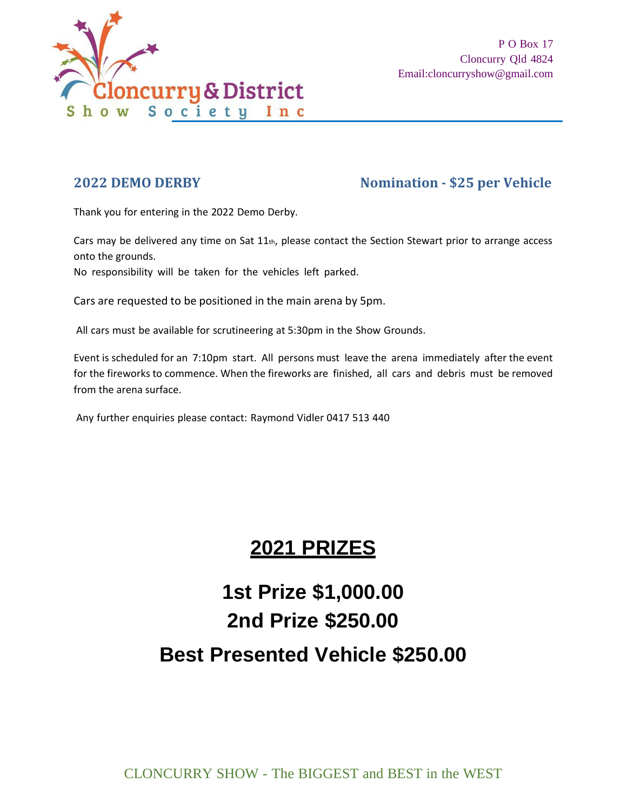

# **2022 DEMO DERBY Nomination - \$25 per Vehicle**

Thank you for entering in the 2022 Demo Derby.

Cars may be delivered any time on Sat  $11<sub>th</sub>$ , please contact the Section Stewart prior to arrange access onto the grounds.

No responsibility will be taken for the vehicles left parked.

Cars are requested to be positioned in the main arena by 5pm.

All cars must be available for scrutineering at 5:30pm in the Show Grounds.

Event is scheduled for an 7:10pm start. All persons must leave the arena immediately after the event for the fireworks to commence. When the fireworks are finished, all cars and debris must be removed from the arena surface.

Any further enquiries please contact: Raymond Vidler 0417 513 440

# **2021 PRIZES**

# **1st Prize \$1,000.00 2nd Prize \$250.00 Best Presented Vehicle \$250.00**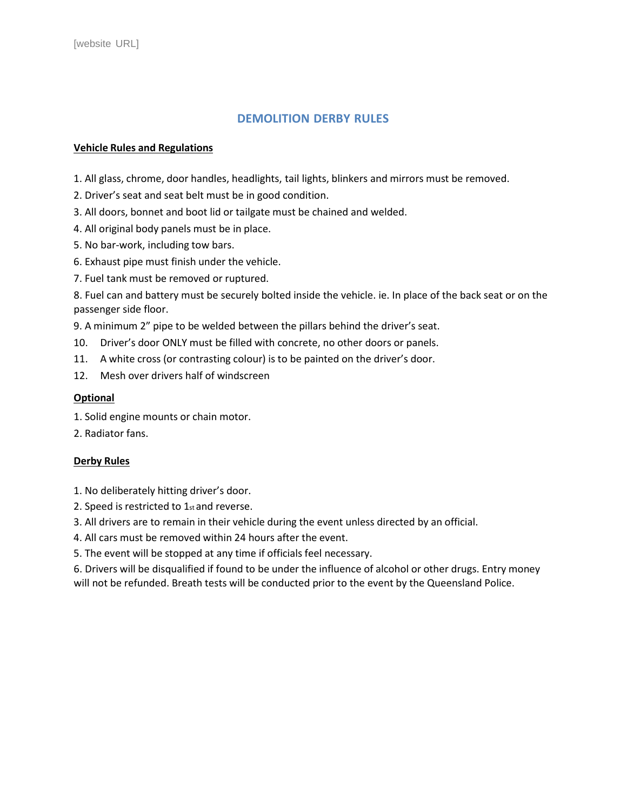### **DEMOLITION DERBY RULES**

#### **Vehicle Rules and Regulations**

1. All glass, chrome, door handles, headlights, tail lights, blinkers and mirrors must be removed.

- 2. Driver's seat and seat belt must be in good condition.
- 3. All doors, bonnet and boot lid or tailgate must be chained and welded.
- 4. All original body panels must be in place.
- 5. No bar-work, including tow bars.
- 6. Exhaust pipe must finish under the vehicle.
- 7. Fuel tank must be removed or ruptured.

8. Fuel can and battery must be securely bolted inside the vehicle. ie. In place of the back seat or on the passenger side floor.

9. A minimum 2" pipe to be welded between the pillars behind the driver's seat.

- 10. Driver's door ONLY must be filled with concrete, no other doors or panels.
- 11. A white cross (or contrasting colour) is to be painted on the driver's door.
- 12. Mesh over drivers half of windscreen

#### **Optional**

- 1. Solid engine mounts or chain motor.
- 2. Radiator fans.

#### **Derby Rules**

- 1. No deliberately hitting driver's door.
- 2. Speed is restricted to 1stand reverse.
- 3. All drivers are to remain in their vehicle during the event unless directed by an official.
- 4. All cars must be removed within 24 hours after the event.
- 5. The event will be stopped at any time if officials feel necessary.

6. Drivers will be disqualified if found to be under the influence of alcohol or other drugs. Entry money will not be refunded. Breath tests will be conducted prior to the event by the Queensland Police.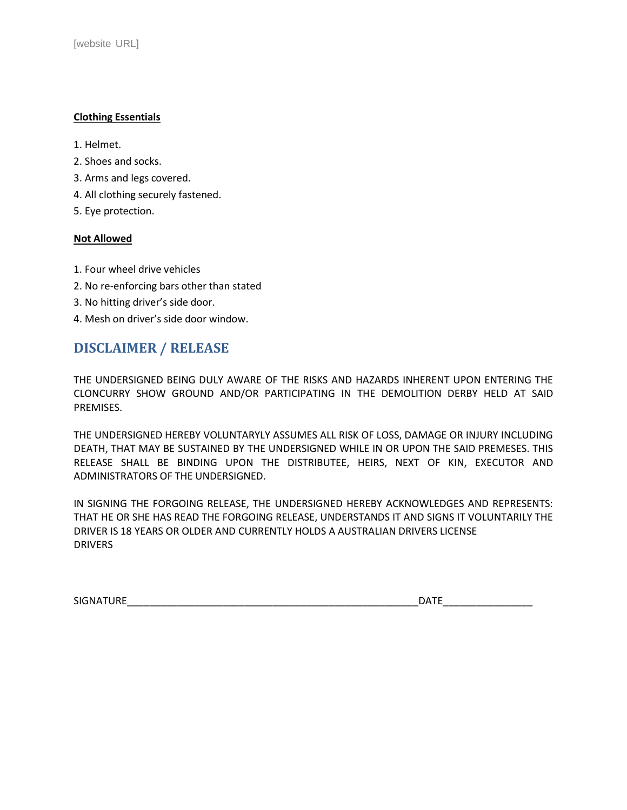#### **Clothing Essentials**

- 1. Helmet.
- 2. Shoes and socks.
- 3. Arms and legs covered.
- 4. All clothing securely fastened.
- 5. Eye protection.

#### **Not Allowed**

- 1. Four wheel drive vehicles
- 2. No re-enforcing bars other than stated
- 3. No hitting driver's side door.
- 4. Mesh on driver's side door window.

## **DISCLAIMER / RELEASE**

THE UNDERSIGNED BEING DULY AWARE OF THE RISKS AND HAZARDS INHERENT UPON ENTERING THE CLONCURRY SHOW GROUND AND/OR PARTICIPATING IN THE DEMOLITION DERBY HELD AT SAID PREMISES.

THE UNDERSIGNED HEREBY VOLUNTARYLY ASSUMES ALL RISK OF LOSS, DAMAGE OR INJURY INCLUDING DEATH, THAT MAY BE SUSTAINED BY THE UNDERSIGNED WHILE IN OR UPON THE SAID PREMESES. THIS RELEASE SHALL BE BINDING UPON THE DISTRIBUTEE, HEIRS, NEXT OF KIN, EXECUTOR AND ADMINISTRATORS OF THE UNDERSIGNED.

IN SIGNING THE FORGOING RELEASE, THE UNDERSIGNED HEREBY ACKNOWLEDGES AND REPRESENTS: THAT HE OR SHE HAS READ THE FORGOING RELEASE, UNDERSTANDS IT AND SIGNS IT VOLUNTARILY THE DRIVER IS 18 YEARS OR OLDER AND CURRENTLY HOLDS A AUSTRALIAN DRIVERS LICENSE DRIVERS

| <b>SIG</b><br>-----<br>$\cdots$<br>- | .<br>ìΑ |
|--------------------------------------|---------|
|                                      |         |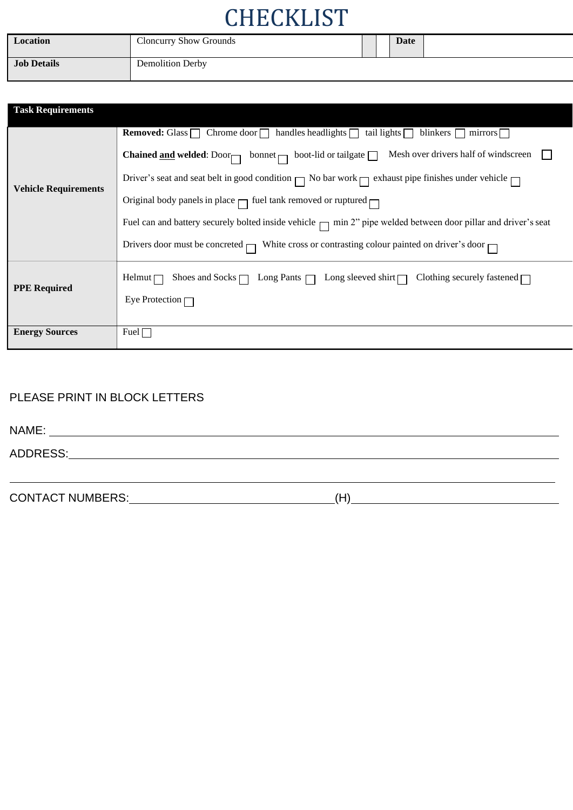# **CHECKLIST**

| Location           | <b>Cloncurry Show Grounds</b> |  | Date |  |
|--------------------|-------------------------------|--|------|--|
| <b>Job Details</b> | <b>Demolition Derby</b>       |  |      |  |

| <b>Task Requirements</b>    |                                                                                                                                |
|-----------------------------|--------------------------------------------------------------------------------------------------------------------------------|
|                             | <b>Removed:</b> Glass $\Box$ Chrome door $\Box$ handles headlights $\Box$ tail lights $\Box$<br>blinkers $\Box$ mirrors $\Box$ |
| <b>Vehicle Requirements</b> | <b>Chained <u>and</u> welded:</b> Door bonnet $\Box$ boot-lid or tailgate $\Box$ Mesh over drivers half of windscreen          |
|                             | Driver's seat and seat belt in good condition $\Box$ No bar work $\Box$ exhaust pipe finishes under vehicle $\Box$             |
|                             | Original body panels in place $\Box$ fuel tank removed or ruptured $\Box$                                                      |
|                             | Fuel can and battery securely bolted inside vehicle $\Box$ min 2" pipe welded between door pillar and driver's seat            |
|                             | Drivers door must be concreted $\Box$ White cross or contrasting colour painted on driver's door $\Box$                        |
|                             | Shoes and Socks $\Box$ Long Pants $\Box$ Long sleeved shirt $\Box$ Clothing securely fastened $\Box$<br>Helmut $\Box$          |
| <b>PPE Required</b>         | Eye Protection $\Box$                                                                                                          |
|                             |                                                                                                                                |
| <b>Energy Sources</b>       | Fuel $\Box$                                                                                                                    |

### PLEASE PRINT IN BLOCK LETTERS

| NAME:    |  |
|----------|--|
| ADDRESS: |  |
|          |  |

CONTACT NUMBERS: (H)